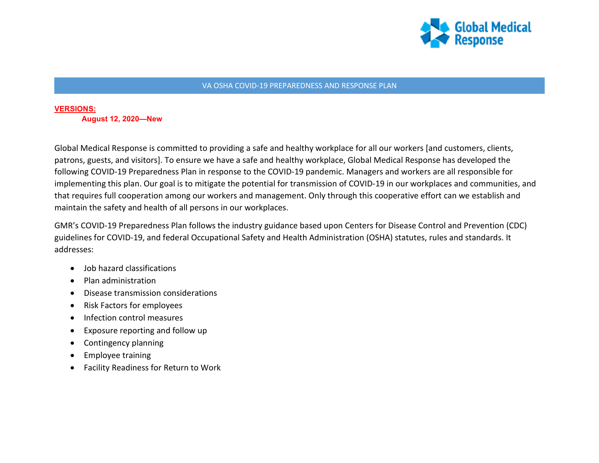

#### VA OSHA COVID-19 PREPAREDNESS AND RESPONSE PLAN

## **VERSIONS: August 12, 2020—New**

Global Medical Response is committed to providing a safe and healthy workplace for all our workers [and customers, clients, patrons, guests, and visitors]. To ensure we have a safe and healthy workplace, Global Medical Response has developed the following COVID-19 Preparedness Plan in response to the COVID-19 pandemic. Managers and workers are all responsible for implementing this plan. Our goal is to mitigate the potential for transmission of COVID-19 in our workplaces and communities, and that requires full cooperation among our workers and management. Only through this cooperative effort can we establish and maintain the safety and health of all persons in our workplaces.

GMR's COVID-19 Preparedness Plan follows the industry guidance based upon Centers for Disease Control and Prevention (CDC) guidelines for COVID-19, and federal Occupational Safety and Health Administration (OSHA) statutes, rules and standards. It addresses:

- Job hazard classifications
- Plan administration
- Disease transmission considerations
- Risk Factors for employees
- Infection control measures
- Exposure reporting and follow up
- Contingency planning
- Employee training
- Facility Readiness for Return to Work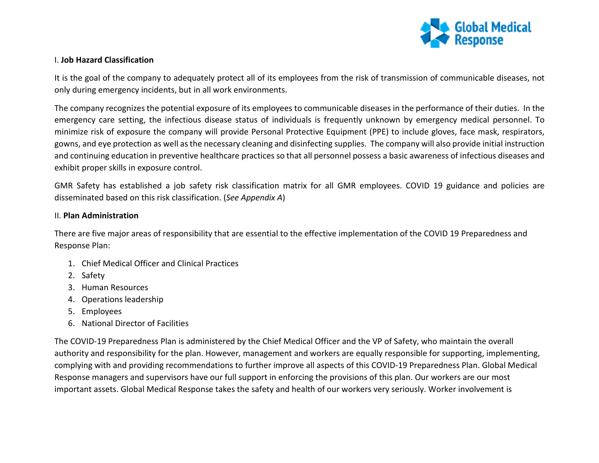

#### I. **Job Hazard Classification**

It is the goal of the company to adequately protect all of its employees from the risk of transmission of communicable diseases, not only during emergency incidents, but in all work environments.

The company recognizes the potential exposure of its employees to communicable diseases in the performance of their duties. In the emergency care setting, the infectious disease status of individuals is frequently unknown by emergency medical personnel. To minimize risk of exposure the company will provide Personal Protective Equipment (PPE) to include gloves, face mask, respirators, gowns, and eye protection as well as the necessary cleaning and disinfecting supplies. The company will also provide initial instruction and continuing education in preventive healthcare practices so that all personnel possess a basic awareness of infectious diseases and exhibit proper skills in exposure control.

GMR Safety has established a job safety risk classification matrix for all GMR employees. COVID 19 guidance and policies are disseminated based on this risk classification. (*See Appendix A*)

#### II. **Plan Administration**

There are five major areas of responsibility that are essential to the effective implementation of the COVID 19 Preparedness and Response Plan:

- 1. Chief Medical Officer and Clinical Practices
- 2. Safety
- 3. Human Resources
- 4. Operations leadership
- 5. Employees
- 6. National Director of Facilities

The COVID-19 Preparedness Plan is administered by the Chief Medical Officer and the VP of Safety, who maintain the overall authority and responsibility for the plan. However, management and workers are equally responsible for supporting, implementing, complying with and providing recommendations to further improve all aspects of this COVID-19 Preparedness Plan. Global Medical Response managers and supervisors have our full support in enforcing the provisions of this plan. Our workers are our most important assets. Global Medical Response takes the safety and health of our workers very seriously. Worker involvement is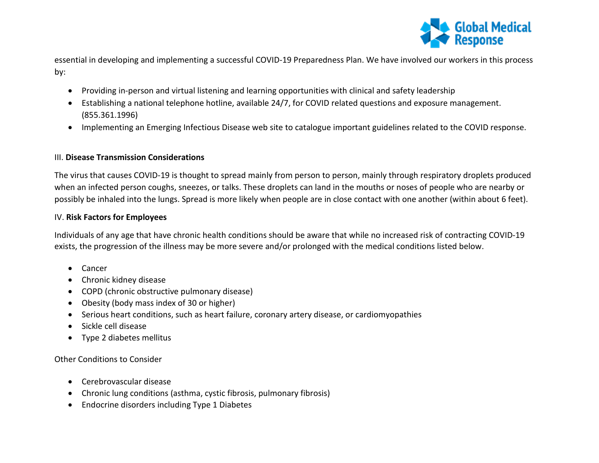

essential in developing and implementing a successful COVID-19 Preparedness Plan. We have involved our workers in this process by:

- Providing in-person and virtual listening and learning opportunities with clinical and safety leadership
- Establishing a national telephone hotline, available 24/7, for COVID related questions and exposure management. (855.361.1996)
- Implementing an Emerging Infectious Disease web site to catalogue important guidelines related to the COVID response.

#### III. **Disease Transmission Considerations**

The virus that causes COVID-19 is thought to spread mainly from person to person, mainly through respiratory droplets produced when an infected person coughs, sneezes, or talks. These droplets can land in the mouths or noses of people who are nearby or possibly be inhaled into the lungs. Spread is more likely when people are in close contact with one another (within about 6 feet).

#### IV. **Risk Factors for Employees**

Individuals of any age that have chronic health conditions should be aware that while no increased risk of contracting COVID-19 exists, the progression of the illness may be more severe and/or prolonged with the medical conditions listed below.

- Cancer
- Chronic kidney disease
- COPD (chronic obstructive pulmonary disease)
- Obesity (body mass index of 30 or higher)
- Serious heart conditions, such as heart failure, coronary artery disease, or cardiomyopathies
- Sickle cell disease
- Type 2 diabetes mellitus

Other Conditions to Consider

- Cerebrovascular disease
- Chronic lung conditions (asthma, cystic fibrosis, pulmonary fibrosis)
- Endocrine disorders including Type 1 Diabetes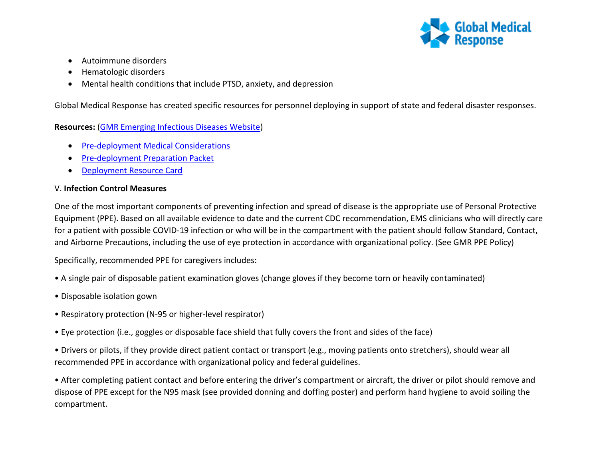

- Autoimmune disorders
- Hematologic disorders
- Mental health conditions that include PTSD, anxiety, and depression

Global Medical Response has created specific resources for personnel deploying in support of state and federal disaster responses.

# **Resources:** [\(GMR Emerging Infectious Diseases Website\)](https://www.globalmedicalresponse.com/coronavirus)

- [Pre-deployment Medical Considerations](https://www.globalmedicalresponse.com/docs/07-22-20_pre-deployment-medical-considerations.pdf)
- [Pre-deployment Preparation Packet](https://staging.globalmedicalresponse.com/docs/07-22-20-pre-deployment-packet.pdf)
- [Deployment Resource Card](https://www.globalmedicalresponse.com/docs/202007-9557-gmr-deployment-resource-card_approved.pdf)

# V. **Infection Control Measures**

One of the most important components of preventing infection and spread of disease is the appropriate use of Personal Protective Equipment (PPE). Based on all available evidence to date and the current CDC recommendation, EMS clinicians who will directly care for a patient with possible COVID-19 infection or who will be in the compartment with the patient should follow Standard, Contact, and Airborne Precautions, including the use of eye protection in accordance with organizational policy. (See GMR PPE Policy)

Specifically, recommended PPE for caregivers includes:

- A single pair of disposable patient examination gloves (change gloves if they become torn or heavily contaminated)
- Disposable isolation gown
- Respiratory protection (N-95 or higher-level respirator)
- Eye protection (i.e., goggles or disposable face shield that fully covers the front and sides of the face)
- Drivers or pilots, if they provide direct patient contact or transport (e.g., moving patients onto stretchers), should wear all recommended PPE in accordance with organizational policy and federal guidelines.

• After completing patient contact and before entering the driver's compartment or aircraft, the driver or pilot should remove and dispose of PPE except for the N95 mask (see provided donning and doffing poster) and perform hand hygiene to avoid soiling the compartment.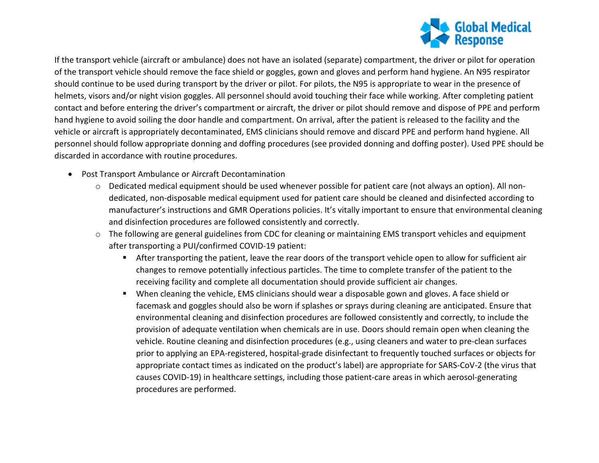

If the transport vehicle (aircraft or ambulance) does not have an isolated (separate) compartment, the driver or pilot for operation of the transport vehicle should remove the face shield or goggles, gown and gloves and perform hand hygiene. An N95 respirator should continue to be used during transport by the driver or pilot. For pilots, the N95 is appropriate to wear in the presence of helmets, visors and/or night vision goggles. All personnel should avoid touching their face while working. After completing patient contact and before entering the driver's compartment or aircraft, the driver or pilot should remove and dispose of PPE and perform hand hygiene to avoid soiling the door handle and compartment. On arrival, after the patient is released to the facility and the vehicle or aircraft is appropriately decontaminated, EMS clinicians should remove and discard PPE and perform hand hygiene. All personnel should follow appropriate donning and doffing procedures (see provided donning and doffing poster). Used PPE should be discarded in accordance with routine procedures.

- Post Transport Ambulance or Aircraft Decontamination
	- o Dedicated medical equipment should be used whenever possible for patient care (not always an option). All nondedicated, non-disposable medical equipment used for patient care should be cleaned and disinfected according to manufacturer's instructions and GMR Operations policies. It's vitally important to ensure that environmental cleaning and disinfection procedures are followed consistently and correctly.
	- o The following are general guidelines from CDC for cleaning or maintaining EMS transport vehicles and equipment after transporting a PUI/confirmed COVID-19 patient:
		- After transporting the patient, leave the rear doors of the transport vehicle open to allow for sufficient air changes to remove potentially infectious particles. The time to complete transfer of the patient to the receiving facility and complete all documentation should provide sufficient air changes.
		- When cleaning the vehicle, EMS clinicians should wear a disposable gown and gloves. A face shield or facemask and goggles should also be worn if splashes or sprays during cleaning are anticipated. Ensure that environmental cleaning and disinfection procedures are followed consistently and correctly, to include the provision of adequate ventilation when chemicals are in use. Doors should remain open when cleaning the vehicle. Routine cleaning and disinfection procedures (e.g., using cleaners and water to pre-clean surfaces prior to applying an EPA-registered, hospital-grade disinfectant to frequently touched surfaces or objects for appropriate contact times as indicated on the product's label) are appropriate for SARS-CoV-2 (the virus that causes COVID-19) in healthcare settings, including those patient-care areas in which aerosol-generating procedures are performed.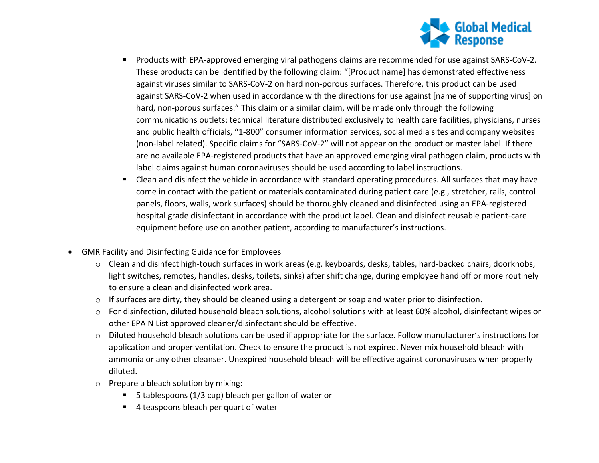

- Products with EPA-approved emerging viral pathogens claims are recommended for use against SARS-CoV-2. These products can be identified by the following claim: "[Product name] has demonstrated effectiveness against viruses similar to SARS-CoV-2 on hard non-porous surfaces. Therefore, this product can be used against SARS-CoV-2 when used in accordance with the directions for use against [name of supporting virus] on hard, non-porous surfaces." This claim or a similar claim, will be made only through the following communications outlets: technical literature distributed exclusively to health care facilities, physicians, nurses and public health officials, "1-800" consumer information services, social media sites and company websites (non-label related). Specific claims for "SARS-CoV-2" will not appear on the product or master label. If there are no available EPA-registered products that have an approved emerging viral pathogen claim, products with label claims against human coronaviruses should be used according to label instructions.
- Clean and disinfect the vehicle in accordance with standard operating procedures. All surfaces that may have come in contact with the patient or materials contaminated during patient care (e.g., stretcher, rails, control panels, floors, walls, work surfaces) should be thoroughly cleaned and disinfected using an EPA-registered hospital grade disinfectant in accordance with the product label. Clean and disinfect reusable patient-care equipment before use on another patient, according to manufacturer's instructions.
- GMR Facility and Disinfecting Guidance for Employees
	- $\circ$  Clean and disinfect high-touch surfaces in work areas (e.g. keyboards, desks, tables, hard-backed chairs, doorknobs, light switches, remotes, handles, desks, toilets, sinks) after shift change, during employee hand off or more routinely to ensure a clean and disinfected work area.
	- o If surfaces are dirty, they should be cleaned using a detergent or soap and water prior to disinfection.
	- o For disinfection, diluted household bleach solutions, alcohol solutions with at least 60% alcohol, disinfectant wipes or other EPA N List approved cleaner/disinfectant should be effective.
	- o Diluted household bleach solutions can be used if appropriate for the surface. Follow manufacturer's instructions for application and proper ventilation. Check to ensure the product is not expired. Never mix household bleach with ammonia or any other cleanser. Unexpired household bleach will be effective against coronaviruses when properly diluted.
	- o Prepare a bleach solution by mixing:
		- 5 tablespoons (1/3 cup) bleach per gallon of water or
		- 4 teaspoons bleach per quart of water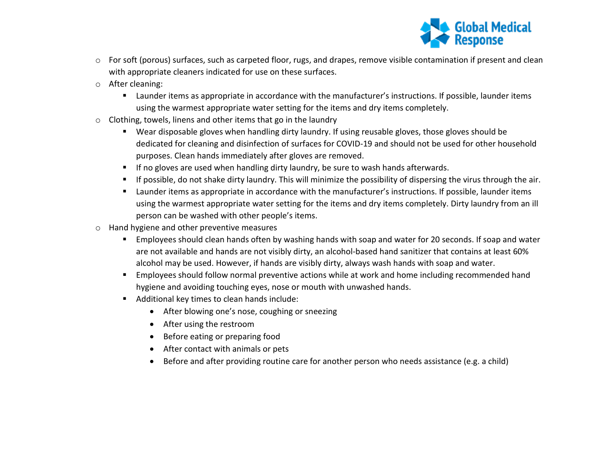

- $\circ$  For soft (porous) surfaces, such as carpeted floor, rugs, and drapes, remove visible contamination if present and clean with appropriate cleaners indicated for use on these surfaces.
- o After cleaning:
	- Launder items as appropriate in accordance with the manufacturer's instructions. If possible, launder items using the warmest appropriate water setting for the items and dry items completely.
- o Clothing, towels, linens and other items that go in the laundry
	- Wear disposable gloves when handling dirty laundry. If using reusable gloves, those gloves should be dedicated for cleaning and disinfection of surfaces for COVID-19 and should not be used for other household purposes. Clean hands immediately after gloves are removed.
	- If no gloves are used when handling dirty laundry, be sure to wash hands afterwards.
	- If possible, do not shake dirty laundry. This will minimize the possibility of dispersing the virus through the air.
	- Launder items as appropriate in accordance with the manufacturer's instructions. If possible, launder items using the warmest appropriate water setting for the items and dry items completely. Dirty laundry from an ill person can be washed with other people's items.
- o Hand hygiene and other preventive measures
	- **Employees should clean hands often by washing hands with soap and water for 20 seconds. If soap and water** are not available and hands are not visibly dirty, an alcohol-based hand sanitizer that contains at least 60% alcohol may be used. However, if hands are visibly dirty, always wash hands with soap and water.
	- **Employees should follow normal preventive actions while at work and home including recommended hand** hygiene and avoiding touching eyes, nose or mouth with unwashed hands.
	- Additional key times to clean hands include:
		- After blowing one's nose, coughing or sneezing
		- After using the restroom
		- Before eating or preparing food
		- After contact with animals or pets
		- Before and after providing routine care for another person who needs assistance (e.g. a child)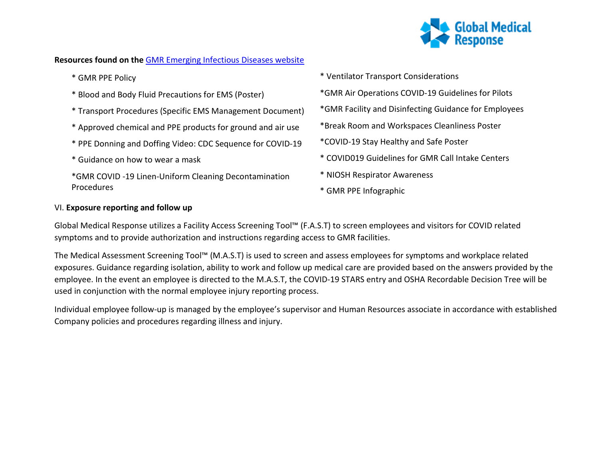

## **Resources found on the** [GMR Emerging Infectious Diseases website](https://www.globalmedicalresponse.com/coronavirus)

- \* GMR PPE Policy
- \* Blood and Body Fluid Precautions for EMS (Poster)
- \* Transport Procedures (Specific EMS Management Document)
- \* Approved chemical and PPE products for ground and air use
- \* PPE Donning and Doffing Video: CDC Sequence for COVID-19
- \* Guidance on how to wear a mask
- \*GMR COVID -19 Linen-Uniform Cleaning Decontamination Procedures
- \* Ventilator Transport Considerations
- \*GMR Air Operations COVID-19 Guidelines for Pilots
- \*GMR Facility and Disinfecting Guidance for Employees
- \*Break Room and Workspaces Cleanliness Poster
- \*COVID-19 Stay Healthy and Safe Poster
- \* COVID019 Guidelines for GMR Call Intake Centers
- \* NIOSH Respirator Awareness
- \* GMR PPE Infographic

#### VI. **Exposure reporting and follow up**

Global Medical Response utilizes a Facility Access Screening Tool™ (F.A.S.T) to screen employees and visitors for COVID related symptoms and to provide authorization and instructions regarding access to GMR facilities.

The Medical Assessment Screening Tool™ (M.A.S.T) is used to screen and assess employees for symptoms and workplace related exposures. Guidance regarding isolation, ability to work and follow up medical care are provided based on the answers provided by the employee. In the event an employee is directed to the M.A.S.T, the COVID-19 STARS entry and OSHA Recordable Decision Tree will be used in conjunction with the normal employee injury reporting process.

Individual employee follow-up is managed by the employee's supervisor and Human Resources associate in accordance with established Company policies and procedures regarding illness and injury.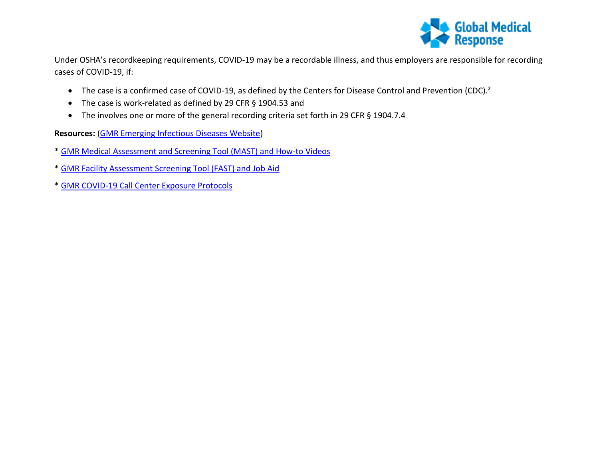

Under OSHA's recordkeeping requirements, COVID-19 may be a recordable illness, and thus employers are responsible for recording cases of COVID-19, if:

- The case is a confirmed case of COVID-19, as defined by the Centers for Disease Control and Prevention (CDC).²
- The case is work-related as defined by 29 CFR § 1904.53 and
- The involves one or more of the general recording criteria set forth in 29 CFR § 1904.7.4

**Resources:** [\(GMR Emerging Infectious Diseases Website\)](https://www.globalmedicalresponse.com/coronavirus)

- \* [GMR Medical Assessment and Screening Tool \(MAST\)](https://global-medical-response.wistia.com/projects/fu5wcs0mzn) and How-to Videos
- \* [GMR Facility Assessment Screening Tool \(FAST\)](https://www.globalmedicalresponse.com/docs/07-06-20-fast_screeningtool_jobaid.pdf) and Job Aid
- \* [GMR COVID-19 Call Center Exposure Protocols](https://www.globalmedicalresponse.com/getdoc/798ceab1-7fa5-49ca-a9a9-5f6a0c6843c4/covid-19-communication-center-protocols.pdf)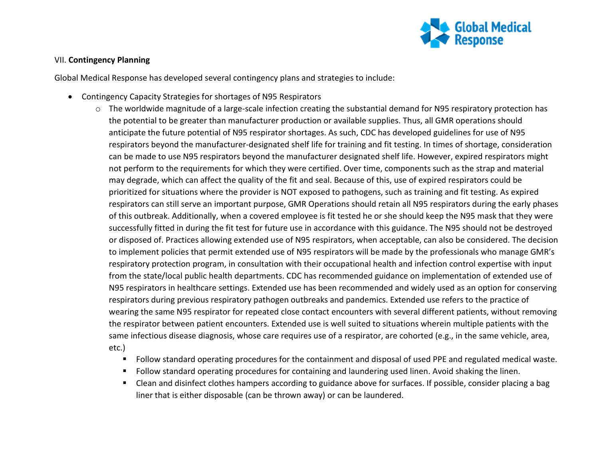

#### VII. **Contingency Planning**

Global Medical Response has developed several contingency plans and strategies to include:

- Contingency Capacity Strategies for shortages of N95 Respirators
	- $\circ$  The worldwide magnitude of a large-scale infection creating the substantial demand for N95 respiratory protection has the potential to be greater than manufacturer production or available supplies. Thus, all GMR operations should anticipate the future potential of N95 respirator shortages. As such, CDC has developed guidelines for use of N95 respirators beyond the manufacturer-designated shelf life for training and fit testing. In times of shortage, consideration can be made to use N95 respirators beyond the manufacturer designated shelf life. However, expired respirators might not perform to the requirements for which they were certified. Over time, components such as the strap and material may degrade, which can affect the quality of the fit and seal. Because of this, use of expired respirators could be prioritized for situations where the provider is NOT exposed to pathogens, such as training and fit testing. As expired respirators can still serve an important purpose, GMR Operations should retain all N95 respirators during the early phases of this outbreak. Additionally, when a covered employee is fit tested he or she should keep the N95 mask that they were successfully fitted in during the fit test for future use in accordance with this guidance. The N95 should not be destroyed or disposed of. Practices allowing extended use of N95 respirators, when acceptable, can also be considered. The decision to implement policies that permit extended use of N95 respirators will be made by the professionals who manage GMR's respiratory protection program, in consultation with their occupational health and infection control expertise with input from the state/local public health departments. CDC has recommended guidance on implementation of extended use of N95 respirators in healthcare settings. Extended use has been recommended and widely used as an option for conserving respirators during previous respiratory pathogen outbreaks and pandemics. Extended use refers to the practice of wearing the same N95 respirator for repeated close contact encounters with several different patients, without removing the respirator between patient encounters. Extended use is well suited to situations wherein multiple patients with the same infectious disease diagnosis, whose care requires use of a respirator, are cohorted (e.g., in the same vehicle, area, etc.)
		- Follow standard operating procedures for the containment and disposal of used PPE and regulated medical waste.
		- Follow standard operating procedures for containing and laundering used linen. Avoid shaking the linen.
		- Clean and disinfect clothes hampers according to guidance above for surfaces. If possible, consider placing a bag liner that is either disposable (can be thrown away) or can be laundered.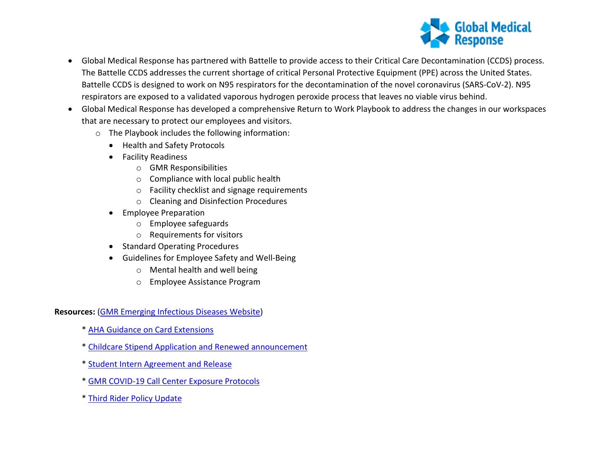

- Global Medical Response has partnered with Battelle to provide access to their Critical Care Decontamination (CCDS) process. The Battelle CCDS addresses the current shortage of critical Personal Protective Equipment (PPE) across the United States. Battelle CCDS is designed to work on N95 respirators for the decontamination of the novel coronavirus (SARS-CoV-2). N95 respirators are exposed to a validated vaporous hydrogen peroxide process that leaves no viable virus behind.
- Global Medical Response has developed a comprehensive Return to Work Playbook to address the changes in our workspaces that are necessary to protect our employees and visitors.
	- o The Playbook includes the following information:
		- Health and Safety Protocols
		- Facility Readiness
			- o GMR Responsibilities
			- o Compliance with local public health
			- o Facility checklist and signage requirements
			- o Cleaning and Disinfection Procedures
		- Employee Preparation
			- o Employee safeguards
			- o Requirements for visitors
		- Standard Operating Procedures
		- Guidelines for Employee Safety and Well-Being
			- o Mental health and well being
			- o Employee Assistance Program

**Resources:** [\(GMR Emerging Infectious Diseases Website\)](https://www.globalmedicalresponse.com/coronavirus)

- \* [AHA Guidance on Card Extensions](https://staging.globalmedicalresponse.com/docs/aha-covid-19-statement_card-extensions_update-(1).pdf)
- \* [Childcare Stipend Application and Renewed announcement](https://www.globalmedicalresponse.com/docs/08-01-20-covid-19-childcare-stipend-renewed.pdf)
- \* [Student Intern Agreement and Release](https://www.globalmedicalresponse.com/getdoc/45cb8aea-da35-4253-bb32-9d19b8409330/student-intern-agreement-and-release.pdf)
- \* [GMR COVID-19 Call Center Exposure Protocols](https://www.globalmedicalresponse.com/getdoc/798ceab1-7fa5-49ca-a9a9-5f6a0c6843c4/covid-19-communication-center-protocols.pdf)
- \* [Third Rider Policy Update](https://www.globalmedicalresponse.com/getdoc/00212857-3e16-4e57-a1eb-6a9736d95e90/third-rider-policy-changes.pdf)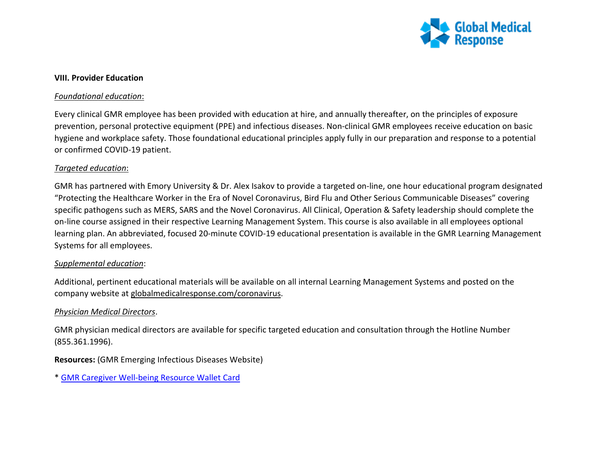

#### **VIII. Provider Education**

#### *Foundational education*:

Every clinical GMR employee has been provided with education at hire, and annually thereafter, on the principles of exposure prevention, personal protective equipment (PPE) and infectious diseases. Non-clinical GMR employees receive education on basic hygiene and workplace safety. Those foundational educational principles apply fully in our preparation and response to a potential or confirmed COVID-19 patient.

#### *Targeted education*:

GMR has partnered with Emory University & Dr. Alex Isakov to provide a targeted on-line, one hour educational program designated "Protecting the Healthcare Worker in the Era of Novel Coronavirus, Bird Flu and Other Serious Communicable Diseases" covering specific pathogens such as MERS, SARS and the Novel Coronavirus. All Clinical, Operation & Safety leadership should complete the on-line course assigned in their respective Learning Management System. This course is also available in all employees optional learning plan. An abbreviated, focused 20-minute COVID-19 educational presentation is available in the GMR Learning Management Systems for all employees.

#### *Supplemental education*:

Additional, pertinent educational materials will be available on all internal Learning Management Systems and posted on the company website at globalmedicalresponse.com/coronavirus.

#### *Physician Medical Directors*.

GMR physician medical directors are available for specific targeted education and consultation through the Hotline Number (855.361.1996).

**Resources:** (GMR Emerging Infectious Diseases Website)

\* [GMR Caregiver Well-being Resource Wallet Card](https://www.globalmedicalresponse.com/getattachment/Resources/Emerging-Infectious-Diseases/202002-9023-GMR-Caregiver-Well-Being-Wallet-Card_10up-1.pdf?lang=en-US)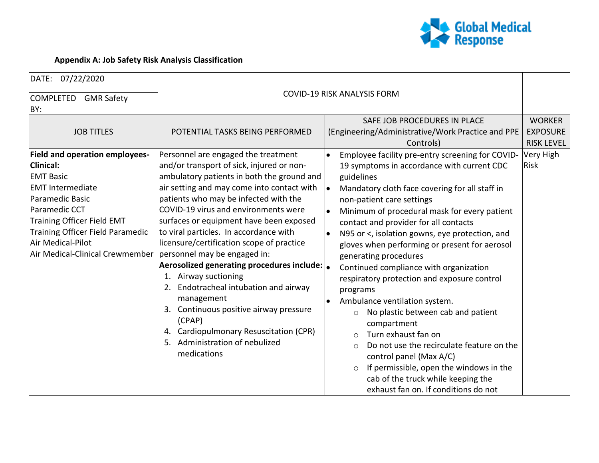

# **Appendix A: Job Safety Risk Analysis Classification**

| DATE: 07/22/2020                                                                                                                                                                                                                                                                            |                                                                                                                                                                                                                                                                                                                                                                                                                                                                                                                                                                                                                                                                       |                                                                                                                                                                                                                                                                                                                                                                                                                                                                                                                                                                                                                                                                                                                          |                                                                                   |
|---------------------------------------------------------------------------------------------------------------------------------------------------------------------------------------------------------------------------------------------------------------------------------------------|-----------------------------------------------------------------------------------------------------------------------------------------------------------------------------------------------------------------------------------------------------------------------------------------------------------------------------------------------------------------------------------------------------------------------------------------------------------------------------------------------------------------------------------------------------------------------------------------------------------------------------------------------------------------------|--------------------------------------------------------------------------------------------------------------------------------------------------------------------------------------------------------------------------------------------------------------------------------------------------------------------------------------------------------------------------------------------------------------------------------------------------------------------------------------------------------------------------------------------------------------------------------------------------------------------------------------------------------------------------------------------------------------------------|-----------------------------------------------------------------------------------|
| COMPLETED GMR Safety<br>BY:                                                                                                                                                                                                                                                                 | <b>COVID-19 RISK ANALYSIS FORM</b>                                                                                                                                                                                                                                                                                                                                                                                                                                                                                                                                                                                                                                    |                                                                                                                                                                                                                                                                                                                                                                                                                                                                                                                                                                                                                                                                                                                          |                                                                                   |
| <b>JOB TITLES</b><br><b>Field and operation employees-</b><br><b>Clinical:</b><br><b>EMT Basic</b><br><b>EMT</b> Intermediate<br>Paramedic Basic<br>Paramedic CCT<br>Training Officer Field EMT<br>Training Officer Field Paramedic<br>Air Medical-Pilot<br>Air Medical-Clinical Crewmember | POTENTIAL TASKS BEING PERFORMED<br>Personnel are engaged the treatment<br>and/or transport of sick, injured or non-<br>ambulatory patients in both the ground and<br>air setting and may come into contact with<br>patients who may be infected with the<br>COVID-19 virus and environments were<br>surfaces or equipment have been exposed<br>to viral particles. In accordance with<br>licensure/certification scope of practice<br>personnel may be engaged in:<br>Aerosolized generating procedures include: $\vert_{\bullet}$<br>1. Airway suctioning<br>2. Endotracheal intubation and airway<br>management<br>3. Continuous positive airway pressure<br>(CPAP) | SAFE JOB PROCEDURES IN PLACE<br>(Engineering/Administrative/Work Practice and PPE<br>Controls)<br>Employee facility pre-entry screening for COVID-<br>19 symptoms in accordance with current CDC<br>guidelines<br>Mandatory cloth face covering for all staff in<br>non-patient care settings<br>Minimum of procedural mask for every patient<br>contact and provider for all contacts<br>N95 or <, isolation gowns, eye protection, and<br>gloves when performing or present for aerosol<br>generating procedures<br>Continued compliance with organization<br>respiratory protection and exposure control<br>programs<br>Ambulance ventilation system.<br>No plastic between cab and patient<br>$\circ$<br>compartment | <b>WORKER</b><br><b>EXPOSURE</b><br><b>RISK LEVEL</b><br>Very High<br><b>Risk</b> |
|                                                                                                                                                                                                                                                                                             | 4. Cardiopulmonary Resuscitation (CPR)<br>5. Administration of nebulized<br>medications                                                                                                                                                                                                                                                                                                                                                                                                                                                                                                                                                                               | Turn exhaust fan on<br>$\circ$<br>Do not use the recirculate feature on the<br>control panel (Max A/C)<br>If permissible, open the windows in the<br>$\circ$<br>cab of the truck while keeping the<br>exhaust fan on. If conditions do not                                                                                                                                                                                                                                                                                                                                                                                                                                                                               |                                                                                   |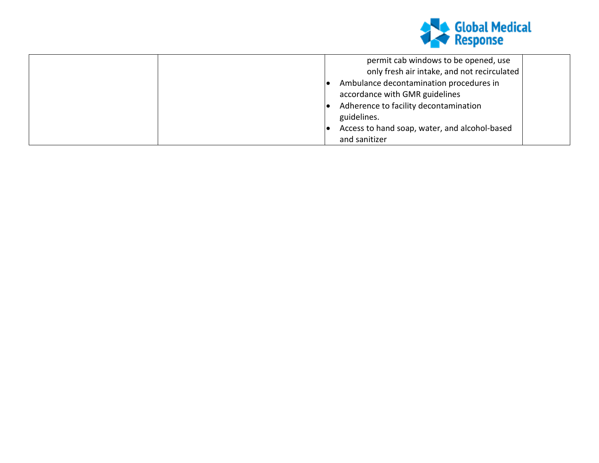

| permit cab windows to be opened, use          |
|-----------------------------------------------|
| only fresh air intake, and not recirculated   |
| Ambulance decontamination procedures in       |
| accordance with GMR guidelines                |
| Adherence to facility decontamination         |
| guidelines.                                   |
| Access to hand soap, water, and alcohol-based |
| and sanitizer                                 |
|                                               |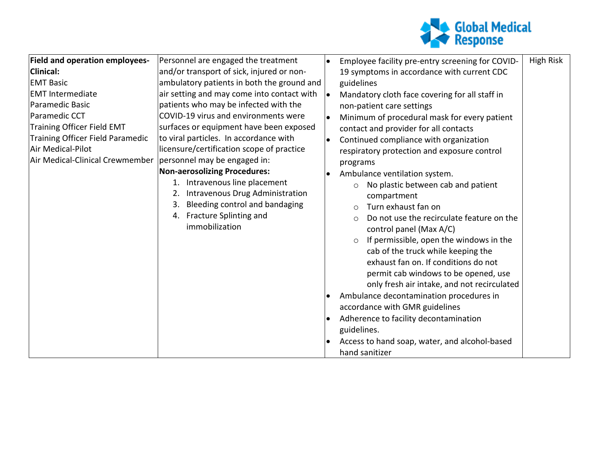

| <b>Field and operation employees-</b> | Personnel are engaged the treatment        | $\bullet$ | Employee facility pre-entry screening for COVID-      | High Risk |
|---------------------------------------|--------------------------------------------|-----------|-------------------------------------------------------|-----------|
| <b>Clinical:</b>                      | and/or transport of sick, injured or non-  |           | 19 symptoms in accordance with current CDC            |           |
| <b>EMT Basic</b>                      | ambulatory patients in both the ground and |           | guidelines                                            |           |
| <b>EMT</b> Intermediate               | air setting and may come into contact with | le.       | Mandatory cloth face covering for all staff in        |           |
| Paramedic Basic                       | patients who may be infected with the      |           | non-patient care settings                             |           |
| Paramedic CCT                         | COVID-19 virus and environments were       |           | Minimum of procedural mask for every patient          |           |
| <b>Training Officer Field EMT</b>     | surfaces or equipment have been exposed    |           | contact and provider for all contacts                 |           |
| Training Officer Field Paramedic      | to viral particles. In accordance with     | $\bullet$ | Continued compliance with organization                |           |
| Air Medical-Pilot                     | licensure/certification scope of practice  |           | respiratory protection and exposure control           |           |
| Air Medical-Clinical Crewmember       | personnel may be engaged in:               |           | programs                                              |           |
|                                       | <b>Non-aerosolizing Procedures:</b>        |           | Ambulance ventilation system.                         |           |
|                                       | 1. Intravenous line placement              |           | No plastic between cab and patient<br>$\circ$         |           |
|                                       | Intravenous Drug Administration<br>2.      |           | compartment                                           |           |
|                                       | Bleeding control and bandaging<br>3.       |           | Turn exhaust fan on<br>$\circ$                        |           |
|                                       | 4. Fracture Splinting and                  |           | Do not use the recirculate feature on the<br>$\Omega$ |           |
|                                       | immobilization                             |           | control panel (Max A/C)                               |           |
|                                       |                                            |           | If permissible, open the windows in the<br>$\circ$    |           |
|                                       |                                            |           | cab of the truck while keeping the                    |           |
|                                       |                                            |           | exhaust fan on. If conditions do not                  |           |
|                                       |                                            |           | permit cab windows to be opened, use                  |           |
|                                       |                                            |           | only fresh air intake, and not recirculated           |           |
|                                       |                                            | $\bullet$ | Ambulance decontamination procedures in               |           |
|                                       |                                            |           | accordance with GMR guidelines                        |           |
|                                       |                                            |           | Adherence to facility decontamination                 |           |
|                                       |                                            |           | guidelines.                                           |           |
|                                       |                                            |           | Access to hand soap, water, and alcohol-based         |           |
|                                       |                                            |           | hand sanitizer                                        |           |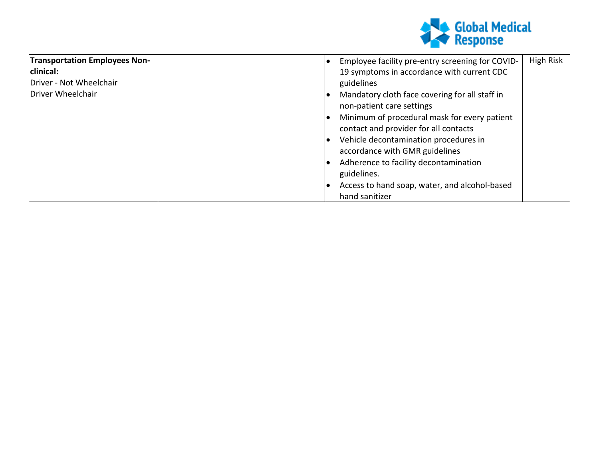

| <b>Transportation Employees Non-</b> | Employee facility pre-entry screening for COVID-                                      | High Risk |
|--------------------------------------|---------------------------------------------------------------------------------------|-----------|
| clinical:                            | 19 symptoms in accordance with current CDC                                            |           |
| Driver - Not Wheelchair              | guidelines                                                                            |           |
| Driver Wheelchair                    | Mandatory cloth face covering for all staff in<br>non-patient care settings           |           |
|                                      | Minimum of procedural mask for every patient<br>contact and provider for all contacts |           |
|                                      | Vehicle decontamination procedures in<br>accordance with GMR guidelines               |           |
|                                      | Adherence to facility decontamination<br>guidelines.                                  |           |
|                                      | Access to hand soap, water, and alcohol-based<br>hand sanitizer                       |           |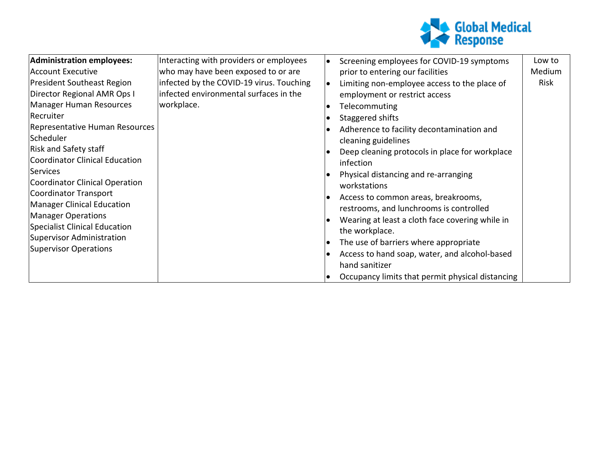

| Administration employees:         | Interacting with providers or employees  | Screening employees for COVID-19 symptoms        | Low to |
|-----------------------------------|------------------------------------------|--------------------------------------------------|--------|
| Account Executive                 | who may have been exposed to or are      | prior to entering our facilities                 | Medium |
| <b>President Southeast Region</b> | infected by the COVID-19 virus. Touching | Limiting non-employee access to the place of     | Risk   |
| Director Regional AMR Ops I       | infected environmental surfaces in the   | employment or restrict access                    |        |
| Manager Human Resources           | workplace.                               | Telecommuting                                    |        |
| Recruiter                         |                                          | Staggered shifts                                 |        |
| Representative Human Resources    |                                          | Adherence to facility decontamination and        |        |
| Scheduler                         |                                          | cleaning guidelines                              |        |
| <b>Risk and Safety staff</b>      |                                          | Deep cleaning protocols in place for workplace   |        |
| Coordinator Clinical Education    |                                          | infection                                        |        |
| Services                          |                                          | Physical distancing and re-arranging             |        |
| Coordinator Clinical Operation    |                                          | workstations                                     |        |
| Coordinator Transport             |                                          | Access to common areas, breakrooms,              |        |
| Manager Clinical Education        |                                          | restrooms, and lunchrooms is controlled          |        |
| <b>Manager Operations</b>         |                                          | Wearing at least a cloth face covering while in  |        |
| Specialist Clinical Education     |                                          | the workplace.                                   |        |
| Supervisor Administration         |                                          | The use of barriers where appropriate            |        |
| Supervisor Operations             |                                          | Access to hand soap, water, and alcohol-based    |        |
|                                   |                                          | hand sanitizer                                   |        |
|                                   |                                          | Occupancy limits that permit physical distancing |        |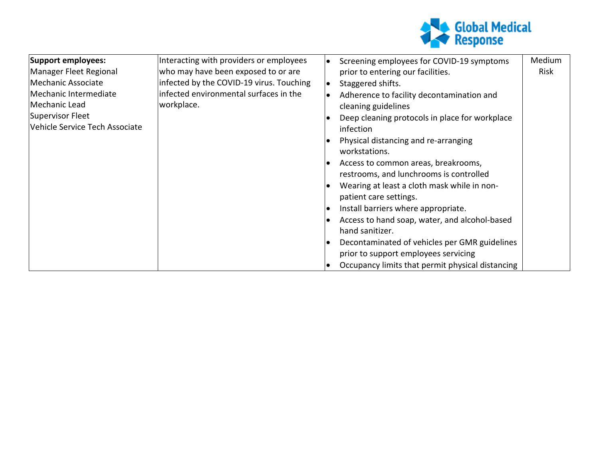

| Support employees:             | Interacting with providers or employees  |           | Screening employees for COVID-19 symptoms        | Medium |
|--------------------------------|------------------------------------------|-----------|--------------------------------------------------|--------|
| Manager Fleet Regional         | who may have been exposed to or are      |           | prior to entering our facilities.                | Risk   |
| Mechanic Associate             | infected by the COVID-19 virus. Touching | $\bullet$ | Staggered shifts.                                |        |
| Mechanic Intermediate          | infected environmental surfaces in the   |           | Adherence to facility decontamination and        |        |
| Mechanic Lead                  | workplace.                               |           | cleaning guidelines                              |        |
| Supervisor Fleet               |                                          |           | Deep cleaning protocols in place for workplace   |        |
| Vehicle Service Tech Associate |                                          |           | infection                                        |        |
|                                |                                          |           | Physical distancing and re-arranging             |        |
|                                |                                          |           | workstations.                                    |        |
|                                |                                          |           | Access to common areas, breakrooms,              |        |
|                                |                                          |           | restrooms, and lunchrooms is controlled          |        |
|                                |                                          |           | Wearing at least a cloth mask while in non-      |        |
|                                |                                          |           | patient care settings.                           |        |
|                                |                                          |           | Install barriers where appropriate.              |        |
|                                |                                          |           | Access to hand soap, water, and alcohol-based    |        |
|                                |                                          |           | hand sanitizer.                                  |        |
|                                |                                          |           | Decontaminated of vehicles per GMR guidelines    |        |
|                                |                                          |           | prior to support employees servicing             |        |
|                                |                                          |           | Occupancy limits that permit physical distancing |        |